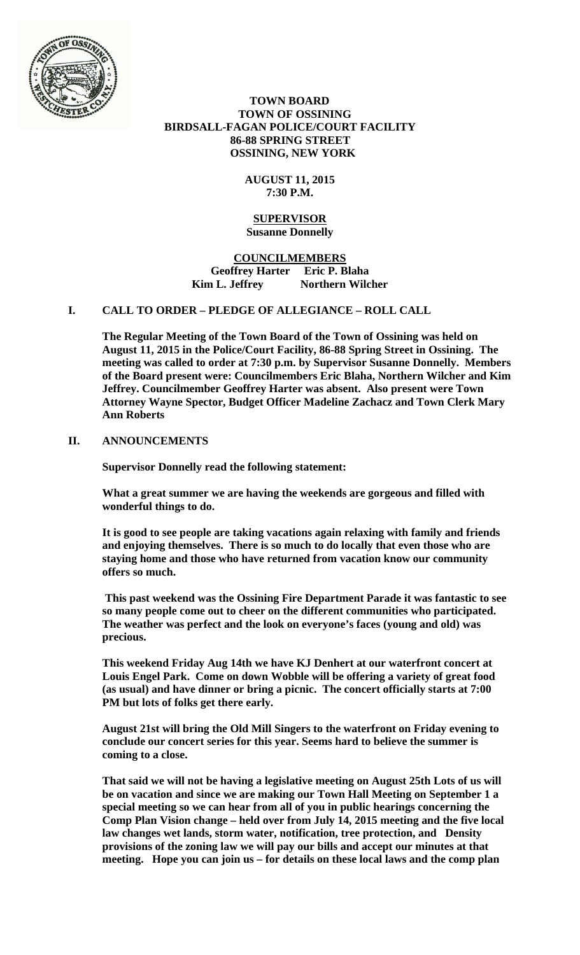

 **TOWN BOARD TOWN OF OSSINING BIRDSALL-FAGAN POLICE/COURT FACILITY 86-88 SPRING STREET OSSINING, NEW YORK** 

> **AUGUST 11, 2015 7:30 P.M.**

### **SUPERVISOR Susanne Donnelly**

**COUNCILMEMBERS Geoffrey Harter Eric P. Blaha**  Kim L. Jeffrey **Northern Wilcher** 

# **I. CALL TO ORDER – PLEDGE OF ALLEGIANCE – ROLL CALL**

**The Regular Meeting of the Town Board of the Town of Ossining was held on August 11, 2015 in the Police/Court Facility, 86-88 Spring Street in Ossining. The meeting was called to order at 7:30 p.m. by Supervisor Susanne Donnelly. Members of the Board present were: Councilmembers Eric Blaha, Northern Wilcher and Kim Jeffrey. Councilmember Geoffrey Harter was absent. Also present were Town Attorney Wayne Spector, Budget Officer Madeline Zachacz and Town Clerk Mary Ann Roberts** 

# **II. ANNOUNCEMENTS**

**Supervisor Donnelly read the following statement:** 

**What a great summer we are having the weekends are gorgeous and filled with wonderful things to do.** 

**It is good to see people are taking vacations again relaxing with family and friends and enjoying themselves. There is so much to do locally that even those who are staying home and those who have returned from vacation know our community offers so much.** 

**This past weekend was the Ossining Fire Department Parade it was fantastic to see so many people come out to cheer on the different communities who participated. The weather was perfect and the look on everyone's faces (young and old) was precious.** 

**This weekend Friday Aug 14th we have KJ Denhert at our waterfront concert at Louis Engel Park. Come on down Wobble will be offering a variety of great food (as usual) and have dinner or bring a picnic. The concert officially starts at 7:00 PM but lots of folks get there early.** 

**August 21st will bring the Old Mill Singers to the waterfront on Friday evening to conclude our concert series for this year. Seems hard to believe the summer is coming to a close.** 

**That said we will not be having a legislative meeting on August 25th Lots of us will be on vacation and since we are making our Town Hall Meeting on September 1 a special meeting so we can hear from all of you in public hearings concerning the Comp Plan Vision change – held over from July 14, 2015 meeting and the five local law changes wet lands, storm water, notification, tree protection, and Density provisions of the zoning law we will pay our bills and accept our minutes at that meeting. Hope you can join us – for details on these local laws and the comp plan**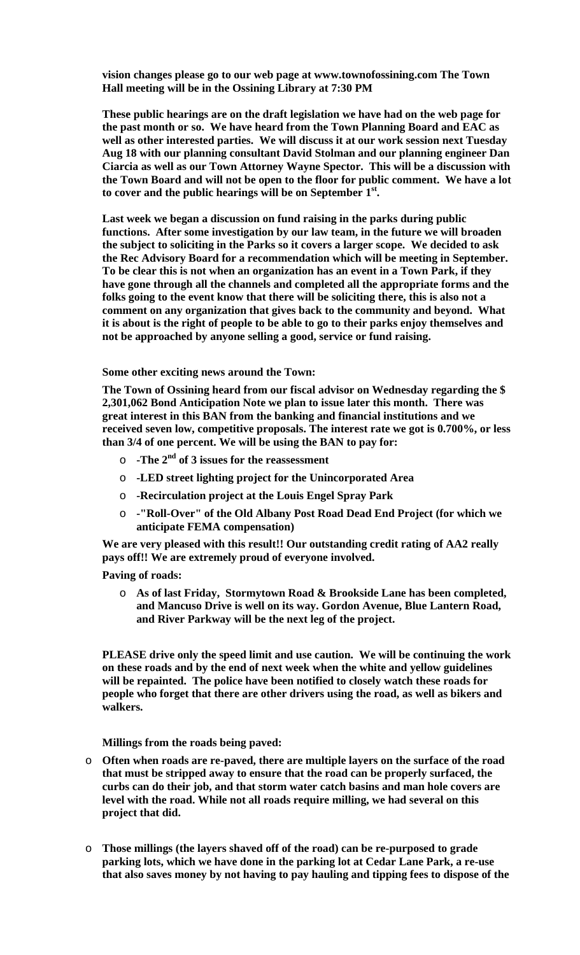**vision changes please go to our web page at www.townofossining.com The Town Hall meeting will be in the Ossining Library at 7:30 PM** 

**These public hearings are on the draft legislation we have had on the web page for the past month or so. We have heard from the Town Planning Board and EAC as well as other interested parties. We will discuss it at our work session next Tuesday Aug 18 with our planning consultant David Stolman and our planning engineer Dan Ciarcia as well as our Town Attorney Wayne Spector. This will be a discussion with the Town Board and will not be open to the floor for public comment. We have a lot to cover and the public hearings will be on September 1st.** 

**Last week we began a discussion on fund raising in the parks during public functions. After some investigation by our law team, in the future we will broaden the subject to soliciting in the Parks so it covers a larger scope. We decided to ask the Rec Advisory Board for a recommendation which will be meeting in September. To be clear this is not when an organization has an event in a Town Park, if they have gone through all the channels and completed all the appropriate forms and the folks going to the event know that there will be soliciting there, this is also not a comment on any organization that gives back to the community and beyond. What it is about is the right of people to be able to go to their parks enjoy themselves and not be approached by anyone selling a good, service or fund raising.** 

#### **Some other exciting news around the Town:**

**The Town of Ossining heard from our fiscal advisor on Wednesday regarding the \$ 2,301,062 Bond Anticipation Note we plan to issue later this month. There was great interest in this BAN from the banking and financial institutions and we received seven low, competitive proposals. The interest rate we got is 0.700%, or less than 3/4 of one percent. We will be using the BAN to pay for:** 

- o **-The 2nd of 3 issues for the reassessment**
- o **-LED street lighting project for the Unincorporated Area**
- o **-Recirculation project at the Louis Engel Spray Park**
- o **-"Roll-Over" of the Old Albany Post Road Dead End Project (for which we anticipate FEMA compensation)**

**We are very pleased with this result!! Our outstanding credit rating of AA2 really pays off!! We are extremely proud of everyone involved.** 

**Paving of roads:** 

o **As of last Friday, Stormytown Road & Brookside Lane has been completed, and Mancuso Drive is well on its way. Gordon Avenue, Blue Lantern Road, and River Parkway will be the next leg of the project.** 

**PLEASE drive only the speed limit and use caution. We will be continuing the work on these roads and by the end of next week when the white and yellow guidelines will be repainted. The police have been notified to closely watch these roads for people who forget that there are other drivers using the road, as well as bikers and walkers.** 

**Millings from the roads being paved:** 

- o **Often when roads are re-paved, there are multiple layers on the surface of the road that must be stripped away to ensure that the road can be properly surfaced, the curbs can do their job, and that storm water catch basins and man hole covers are level with the road. While not all roads require milling, we had several on this project that did.**
- o **Those millings (the layers shaved off of the road) can be re-purposed to grade parking lots, which we have done in the parking lot at Cedar Lane Park, a re-use that also saves money by not having to pay hauling and tipping fees to dispose of the**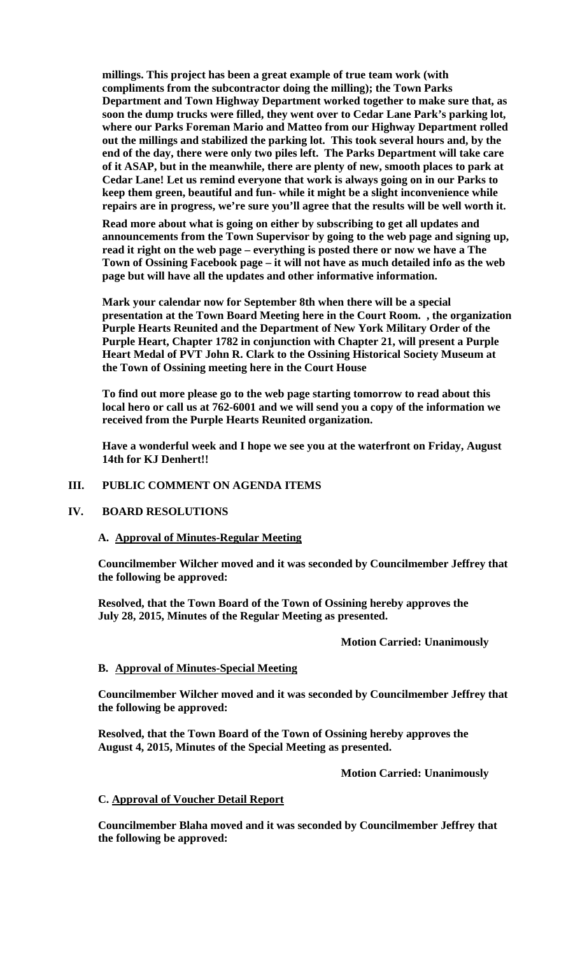**millings. This project has been a great example of true team work (with compliments from the subcontractor doing the milling); the Town Parks Department and Town Highway Department worked together to make sure that, as soon the dump trucks were filled, they went over to Cedar Lane Park's parking lot, where our Parks Foreman Mario and Matteo from our Highway Department rolled out the millings and stabilized the parking lot. This took several hours and, by the end of the day, there were only two piles left. The Parks Department will take care of it ASAP, but in the meanwhile, there are plenty of new, smooth places to park at Cedar Lane! Let us remind everyone that work is always going on in our Parks to keep them green, beautiful and fun- while it might be a slight inconvenience while repairs are in progress, we're sure you'll agree that the results will be well worth it.** 

**Read more about what is going on either by subscribing to get all updates and announcements from the Town Supervisor by going to the web page and signing up, read it right on the web page – everything is posted there or now we have a The Town of Ossining Facebook page – it will not have as much detailed info as the web page but will have all the updates and other informative information.** 

**Mark your calendar now for September 8th when there will be a special presentation at the Town Board Meeting here in the Court Room. , the organization Purple Hearts Reunited and the Department of New York Military Order of the Purple Heart, Chapter 1782 in conjunction with Chapter 21, will present a Purple Heart Medal of PVT John R. Clark to the Ossining Historical Society Museum at the Town of Ossining meeting here in the Court House** 

**To find out more please go to the web page starting tomorrow to read about this local hero or call us at 762-6001 and we will send you a copy of the information we received from the Purple Hearts Reunited organization.** 

**Have a wonderful week and I hope we see you at the waterfront on Friday, August 14th for KJ Denhert!!** 

### **III. PUBLIC COMMENT ON AGENDA ITEMS**

### **IV. BOARD RESOLUTIONS**

### **A. Approval of Minutes-Regular Meeting**

**Councilmember Wilcher moved and it was seconded by Councilmember Jeffrey that the following be approved:** 

**Resolved, that the Town Board of the Town of Ossining hereby approves the July 28, 2015, Minutes of the Regular Meeting as presented.** 

### **Motion Carried: Unanimously**

## **B. Approval of Minutes-Special Meeting**

**Councilmember Wilcher moved and it was seconded by Councilmember Jeffrey that the following be approved:** 

**Resolved, that the Town Board of the Town of Ossining hereby approves the August 4, 2015, Minutes of the Special Meeting as presented.** 

 **Motion Carried: Unanimously** 

### **C. Approval of Voucher Detail Report**

**Councilmember Blaha moved and it was seconded by Councilmember Jeffrey that the following be approved:**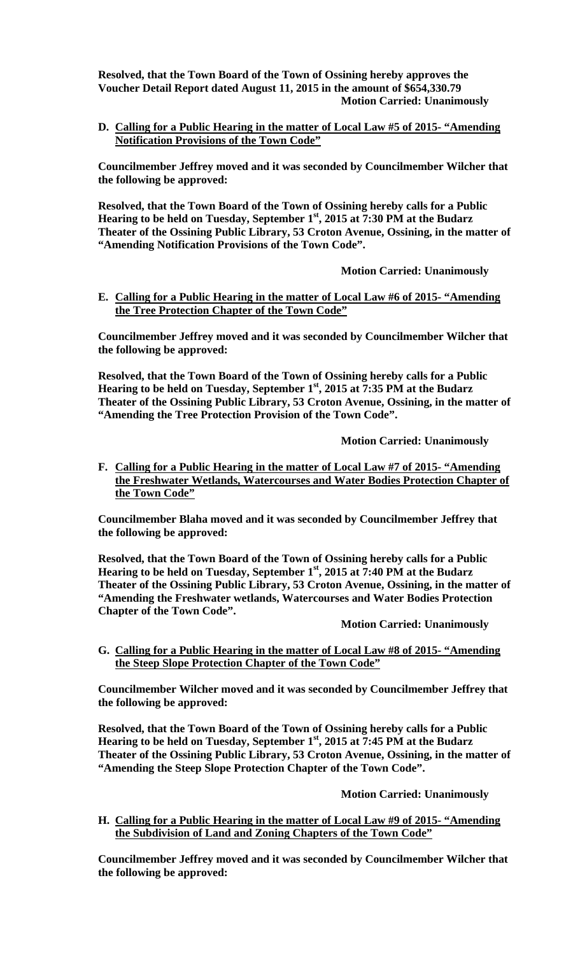**Resolved, that the Town Board of the Town of Ossining hereby approves the Voucher Detail Report dated August 11, 2015 in the amount of \$654,330.79 Motion Carried: Unanimously** 

**D. Calling for a Public Hearing in the matter of Local Law #5 of 2015- "Amending Notification Provisions of the Town Code"**

**Councilmember Jeffrey moved and it was seconded by Councilmember Wilcher that the following be approved:** 

**Resolved, that the Town Board of the Town of Ossining hereby calls for a Public Hearing to be held on Tuesday, September 1st, 2015 at 7:30 PM at the Budarz Theater of the Ossining Public Library, 53 Croton Avenue, Ossining, in the matter of "Amending Notification Provisions of the Town Code".** 

 **Motion Carried: Unanimously** 

**E. Calling for a Public Hearing in the matter of Local Law #6 of 2015- "Amending the Tree Protection Chapter of the Town Code"**

**Councilmember Jeffrey moved and it was seconded by Councilmember Wilcher that the following be approved:** 

**Resolved, that the Town Board of the Town of Ossining hereby calls for a Public Hearing to be held on Tuesday, September 1st, 2015 at 7:35 PM at the Budarz Theater of the Ossining Public Library, 53 Croton Avenue, Ossining, in the matter of "Amending the Tree Protection Provision of the Town Code".** 

 **Motion Carried: Unanimously** 

**F. Calling for a Public Hearing in the matter of Local Law #7 of 2015- "Amending the Freshwater Wetlands, Watercourses and Water Bodies Protection Chapter of the Town Code"**

**Councilmember Blaha moved and it was seconded by Councilmember Jeffrey that the following be approved:** 

**Resolved, that the Town Board of the Town of Ossining hereby calls for a Public Hearing to be held on Tuesday, September 1st, 2015 at 7:40 PM at the Budarz Theater of the Ossining Public Library, 53 Croton Avenue, Ossining, in the matter of "Amending the Freshwater wetlands, Watercourses and Water Bodies Protection Chapter of the Town Code".** 

 **Motion Carried: Unanimously** 

**G. Calling for a Public Hearing in the matter of Local Law #8 of 2015- "Amending the Steep Slope Protection Chapter of the Town Code"**

**Councilmember Wilcher moved and it was seconded by Councilmember Jeffrey that the following be approved:** 

**Resolved, that the Town Board of the Town of Ossining hereby calls for a Public Hearing to be held on Tuesday, September 1st, 2015 at 7:45 PM at the Budarz Theater of the Ossining Public Library, 53 Croton Avenue, Ossining, in the matter of "Amending the Steep Slope Protection Chapter of the Town Code".** 

 **Motion Carried: Unanimously** 

**H. Calling for a Public Hearing in the matter of Local Law #9 of 2015- "Amending the Subdivision of Land and Zoning Chapters of the Town Code"**

**Councilmember Jeffrey moved and it was seconded by Councilmember Wilcher that the following be approved:**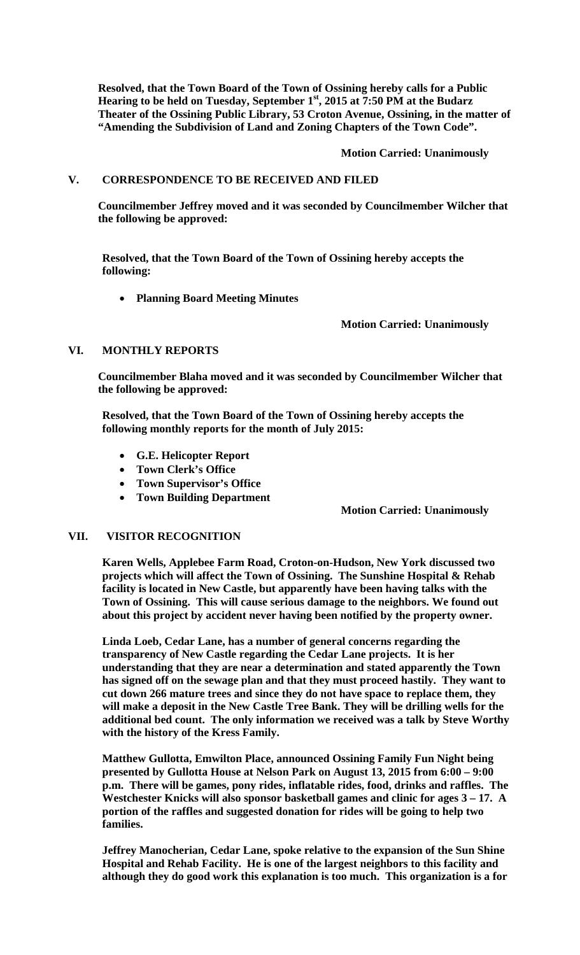**Resolved, that the Town Board of the Town of Ossining hereby calls for a Public Hearing to be held on Tuesday, September 1st, 2015 at 7:50 PM at the Budarz Theater of the Ossining Public Library, 53 Croton Avenue, Ossining, in the matter of "Amending the Subdivision of Land and Zoning Chapters of the Town Code".** 

 **Motion Carried: Unanimously** 

### **V. CORRESPONDENCE TO BE RECEIVED AND FILED**

**Councilmember Jeffrey moved and it was seconded by Councilmember Wilcher that the following be approved:** 

**Resolved, that the Town Board of the Town of Ossining hereby accepts the following:** 

**Planning Board Meeting Minutes** 

 **Motion Carried: Unanimously** 

### **VI. MONTHLY REPORTS**

**Councilmember Blaha moved and it was seconded by Councilmember Wilcher that the following be approved:** 

**Resolved, that the Town Board of the Town of Ossining hereby accepts the following monthly reports for the month of July 2015:** 

- **G.E. Helicopter Report**
- **Town Clerk's Office**
- **Town Supervisor's Office**
- **Town Building Department**

## **Motion Carried: Unanimously**

### **VII. VISITOR RECOGNITION**

**Karen Wells, Applebee Farm Road, Croton-on-Hudson, New York discussed two projects which will affect the Town of Ossining. The Sunshine Hospital & Rehab facility is located in New Castle, but apparently have been having talks with the Town of Ossining. This will cause serious damage to the neighbors. We found out about this project by accident never having been notified by the property owner.** 

**Linda Loeb, Cedar Lane, has a number of general concerns regarding the transparency of New Castle regarding the Cedar Lane projects. It is her understanding that they are near a determination and stated apparently the Town has signed off on the sewage plan and that they must proceed hastily. They want to cut down 266 mature trees and since they do not have space to replace them, they will make a deposit in the New Castle Tree Bank. They will be drilling wells for the additional bed count. The only information we received was a talk by Steve Worthy with the history of the Kress Family.** 

**Matthew Gullotta, Emwilton Place, announced Ossining Family Fun Night being presented by Gullotta House at Nelson Park on August 13, 2015 from 6:00 – 9:00 p.m. There will be games, pony rides, inflatable rides, food, drinks and raffles. The Westchester Knicks will also sponsor basketball games and clinic for ages 3 – 17. A portion of the raffles and suggested donation for rides will be going to help two families.** 

**Jeffrey Manocherian, Cedar Lane, spoke relative to the expansion of the Sun Shine Hospital and Rehab Facility. He is one of the largest neighbors to this facility and although they do good work this explanation is too much. This organization is a for**